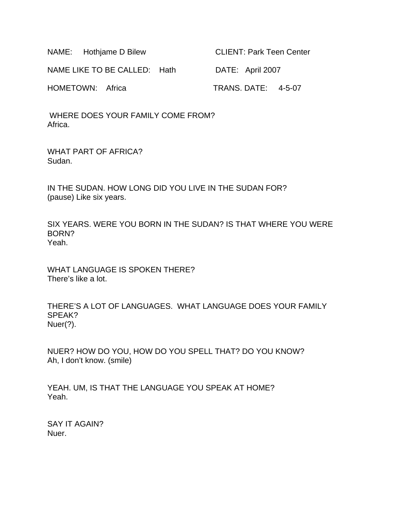| NAME: Hothjame D Bilew       | <b>CLIENT: Park Teen Center</b> |
|------------------------------|---------------------------------|
| NAME LIKE TO BE CALLED: Hath | DATE: April 2007                |
| HOMETOWN: Africa             | TRANS. DATE: 4-5-07             |

 WHERE DOES YOUR FAMILY COME FROM? Africa.

WHAT PART OF AFRICA? Sudan.

IN THE SUDAN. HOW LONG DID YOU LIVE IN THE SUDAN FOR? (pause) Like six years.

SIX YEARS. WERE YOU BORN IN THE SUDAN? IS THAT WHERE YOU WERE BORN? Yeah.

WHAT LANGUAGE IS SPOKEN THERE? There's like a lot.

THERE'S A LOT OF LANGUAGES. WHAT LANGUAGE DOES YOUR FAMILY SPEAK? Nuer(?).

NUER? HOW DO YOU, HOW DO YOU SPELL THAT? DO YOU KNOW? Ah, I don't know. (smile)

YEAH. UM, IS THAT THE LANGUAGE YOU SPEAK AT HOME? Yeah.

SAY IT AGAIN? Nuer.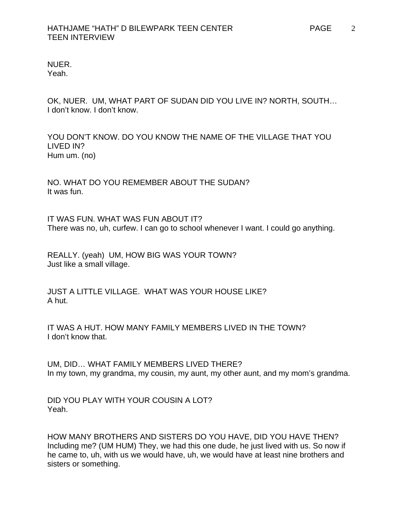NUER. Yeah.

OK, NUER. UM, WHAT PART OF SUDAN DID YOU LIVE IN? NORTH, SOUTH… I don't know. I don't know.

YOU DON'T KNOW. DO YOU KNOW THE NAME OF THE VILLAGE THAT YOU LIVED IN? Hum um. (no)

NO. WHAT DO YOU REMEMBER ABOUT THE SUDAN? It was fun.

IT WAS FUN. WHAT WAS FUN ABOUT IT? There was no, uh, curfew. I can go to school whenever I want. I could go anything.

REALLY. (yeah) UM, HOW BIG WAS YOUR TOWN? Just like a small village.

JUST A LITTLE VILLAGE. WHAT WAS YOUR HOUSE LIKE? A hut.

IT WAS A HUT. HOW MANY FAMILY MEMBERS LIVED IN THE TOWN? I don't know that.

UM, DID… WHAT FAMILY MEMBERS LIVED THERE? In my town, my grandma, my cousin, my aunt, my other aunt, and my mom's grandma.

DID YOU PLAY WITH YOUR COUSIN A LOT? Yeah.

HOW MANY BROTHERS AND SISTERS DO YOU HAVE, DID YOU HAVE THEN? Including me? (UM HUM) They, we had this one dude, he just lived with us. So now if he came to, uh, with us we would have, uh, we would have at least nine brothers and sisters or something.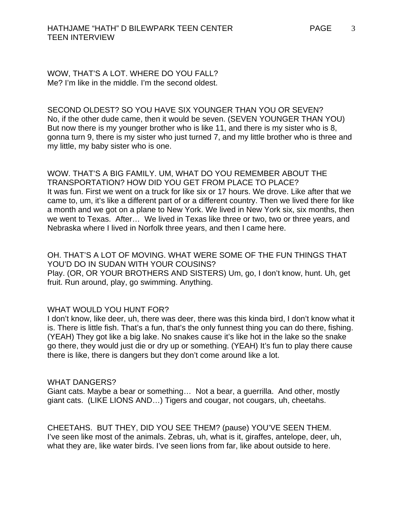WOW, THAT'S A LOT. WHERE DO YOU FALL? Me? I'm like in the middle. I'm the second oldest.

SECOND OLDEST? SO YOU HAVE SIX YOUNGER THAN YOU OR SEVEN? No, if the other dude came, then it would be seven. (SEVEN YOUNGER THAN YOU) But now there is my younger brother who is like 11, and there is my sister who is 8, gonna turn 9, there is my sister who just turned 7, and my little brother who is three and my little, my baby sister who is one.

WOW. THAT'S A BIG FAMILY. UM, WHAT DO YOU REMEMBER ABOUT THE TRANSPORTATION? HOW DID YOU GET FROM PLACE TO PLACE? It was fun. First we went on a truck for like six or 17 hours. We drove. Like after that we came to, um, it's like a different part of or a different country. Then we lived there for like a month and we got on a plane to New York. We lived in New York six, six months, then we went to Texas. After… We lived in Texas like three or two, two or three years, and Nebraska where I lived in Norfolk three years, and then I came here.

OH. THAT'S A LOT OF MOVING. WHAT WERE SOME OF THE FUN THINGS THAT YOU'D DO IN SUDAN WITH YOUR COUSINS? Play. (OR, OR YOUR BROTHERS AND SISTERS) Um, go, I don't know, hunt. Uh, get fruit. Run around, play, go swimming. Anything.

#### WHAT WOULD YOU HUNT FOR?

I don't know, like deer, uh, there was deer, there was this kinda bird, I don't know what it is. There is little fish. That's a fun, that's the only funnest thing you can do there, fishing. (YEAH) They got like a big lake. No snakes cause it's like hot in the lake so the snake go there, they would just die or dry up or something. (YEAH) It's fun to play there cause there is like, there is dangers but they don't come around like a lot.

#### WHAT DANGERS?

Giant cats. Maybe a bear or something… Not a bear, a guerrilla. And other, mostly giant cats. (LIKE LIONS AND…) Tigers and cougar, not cougars, uh, cheetahs.

CHEETAHS. BUT THEY, DID YOU SEE THEM? (pause) YOU'VE SEEN THEM. I've seen like most of the animals. Zebras, uh, what is it, giraffes, antelope, deer, uh, what they are, like water birds. I've seen lions from far, like about outside to here.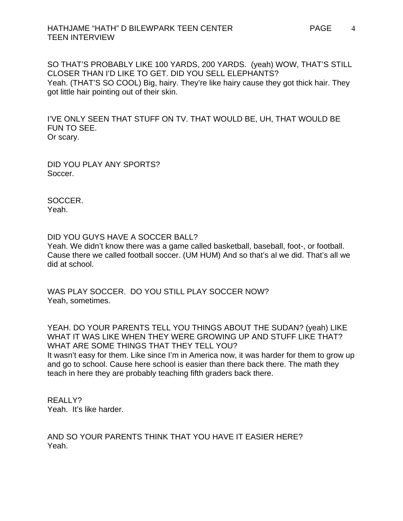### HATHJAME "HATH" D BILEWPARK TEEN CENTER PAGE TEEN INTERVIEW

SO THAT'S PROBABLY LIKE 100 YARDS, 200 YARDS. (yeah) WOW, THAT'S STILL CLOSER THAN I'D LIKE TO GET. DID YOU SELL ELEPHANTS? Yeah. (THAT'S SO COOL) Big, hairy. They're like hairy cause they got thick hair. They got little hair pointing out of their skin.

I'VE ONLY SEEN THAT STUFF ON TV. THAT WOULD BE, UH, THAT WOULD BE FUN TO SEE. Or scary.

DID YOU PLAY ANY SPORTS? Soccer.

SOCCER. Yeah.

DID YOU GUYS HAVE A SOCCER BALL?

Yeah. We didn't know there was a game called basketball, baseball, foot-, or football. Cause there we called football soccer. (UM HUM) And so that's al we did. That's all we did at school.

WAS PLAY SOCCER. DO YOU STILL PLAY SOCCER NOW? Yeah, sometimes.

YEAH. DO YOUR PARENTS TELL YOU THINGS ABOUT THE SUDAN? (yeah) LIKE WHAT IT WAS LIKE WHEN THEY WERE GROWING UP AND STUFF LIKE THAT? WHAT ARE SOME THINGS THAT THEY TELL YOU?

It wasn't easy for them. Like since I'm in America now, it was harder for them to grow up and go to school. Cause here school is easier than there back there. The math they teach in here they are probably teaching fifth graders back there.

REALLY? Yeah. It's like harder.

AND SO YOUR PARENTS THINK THAT YOU HAVE IT EASIER HERE? Yeah.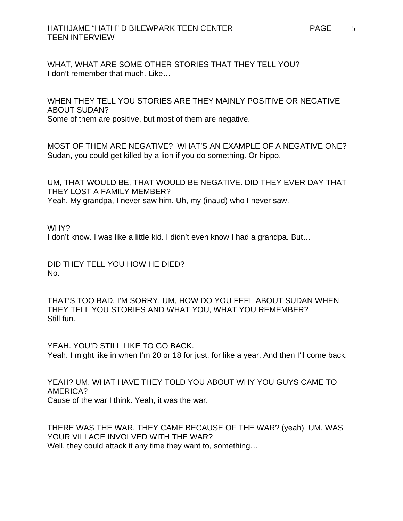### HATHJAME "HATH" D BILEWPARK TEEN CENTER TEEN INTERVIEW

WHAT, WHAT ARE SOME OTHER STORIES THAT THEY TELL YOU? I don't remember that much. Like…

WHEN THEY TELL YOU STORIES ARE THEY MAINLY POSITIVE OR NEGATIVE ABOUT SUDAN? Some of them are positive, but most of them are negative.

MOST OF THEM ARE NEGATIVE? WHAT'S AN EXAMPLE OF A NEGATIVE ONE? Sudan, you could get killed by a lion if you do something. Or hippo.

UM, THAT WOULD BE, THAT WOULD BE NEGATIVE. DID THEY EVER DAY THAT THEY LOST A FAMILY MEMBER? Yeah. My grandpa, I never saw him. Uh, my (inaud) who I never saw.

WHY?

I don't know. I was like a little kid. I didn't even know I had a grandpa. But…

DID THEY TELL YOU HOW HE DIED? No.

THAT'S TOO BAD. I'M SORRY. UM, HOW DO YOU FEEL ABOUT SUDAN WHEN THEY TELL YOU STORIES AND WHAT YOU, WHAT YOU REMEMBER? Still fun.

YEAH. YOU'D STILL LIKE TO GO BACK. Yeah. I might like in when I'm 20 or 18 for just, for like a year. And then I'll come back.

YEAH? UM, WHAT HAVE THEY TOLD YOU ABOUT WHY YOU GUYS CAME TO AMERICA? Cause of the war I think. Yeah, it was the war.

THERE WAS THE WAR. THEY CAME BECAUSE OF THE WAR? (yeah) UM, WAS YOUR VILLAGE INVOLVED WITH THE WAR? Well, they could attack it any time they want to, something...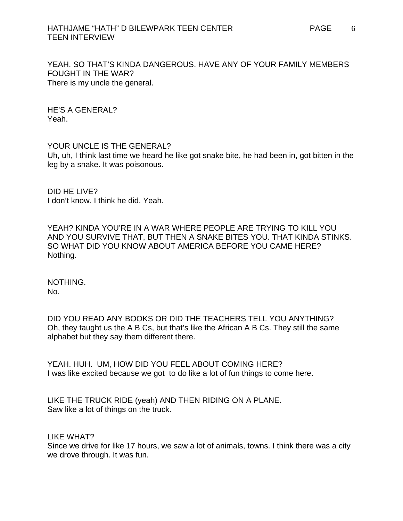### HATHJAME "HATH" D BILEWPARK TEEN CENTER PAGE TEEN INTERVIEW

YEAH. SO THAT'S KINDA DANGEROUS. HAVE ANY OF YOUR FAMILY MEMBERS FOUGHT IN THE WAR? There is my uncle the general.

HE'S A GENERAL? Yeah.

YOUR UNCLE IS THE GENERAL?

Uh, uh, I think last time we heard he like got snake bite, he had been in, got bitten in the leg by a snake. It was poisonous.

DID HE LIVE? I don't know. I think he did. Yeah.

YEAH? KINDA YOU'RE IN A WAR WHERE PEOPLE ARE TRYING TO KILL YOU AND YOU SURVIVE THAT, BUT THEN A SNAKE BITES YOU. THAT KINDA STINKS. SO WHAT DID YOU KNOW ABOUT AMERICA BEFORE YOU CAME HERE? Nothing.

NOTHING. No.

DID YOU READ ANY BOOKS OR DID THE TEACHERS TELL YOU ANYTHING? Oh, they taught us the A B Cs, but that's like the African A B Cs. They still the same alphabet but they say them different there.

YEAH. HUH. UM, HOW DID YOU FEEL ABOUT COMING HERE? I was like excited because we got to do like a lot of fun things to come here.

LIKE THE TRUCK RIDE (yeah) AND THEN RIDING ON A PLANE. Saw like a lot of things on the truck.

LIKE WHAT?

Since we drive for like 17 hours, we saw a lot of animals, towns. I think there was a city we drove through. It was fun.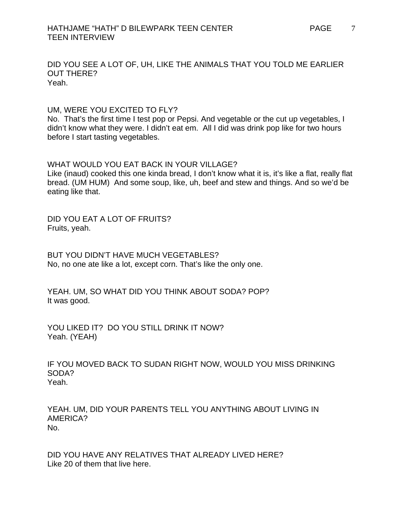DID YOU SEE A LOT OF, UH, LIKE THE ANIMALS THAT YOU TOLD ME EARLIER OUT THERE? Yeah.

UM, WERE YOU EXCITED TO FLY? No. That's the first time I test pop or Pepsi. And vegetable or the cut up vegetables, I didn't know what they were. I didn't eat em. All I did was drink pop like for two hours before I start tasting vegetables.

WHAT WOULD YOU EAT BACK IN YOUR VILLAGE? Like (inaud) cooked this one kinda bread, I don't know what it is, it's like a flat, really flat bread. (UM HUM) And some soup, like, uh, beef and stew and things. And so we'd be eating like that.

DID YOU EAT A LOT OF FRUITS? Fruits, yeah.

BUT YOU DIDN'T HAVE MUCH VEGETABLES? No, no one ate like a lot, except corn. That's like the only one.

YEAH. UM, SO WHAT DID YOU THINK ABOUT SODA? POP? It was good.

YOU LIKED IT? DO YOU STILL DRINK IT NOW? Yeah. (YEAH)

IF YOU MOVED BACK TO SUDAN RIGHT NOW, WOULD YOU MISS DRINKING SODA? Yeah.

YEAH. UM, DID YOUR PARENTS TELL YOU ANYTHING ABOUT LIVING IN AMERICA? No.

DID YOU HAVE ANY RELATIVES THAT ALREADY LIVED HERE? Like 20 of them that live here.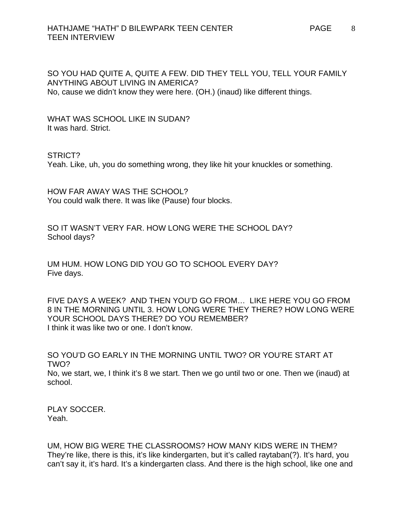SO YOU HAD QUITE A, QUITE A FEW. DID THEY TELL YOU, TELL YOUR FAMILY ANYTHING ABOUT LIVING IN AMERICA? No, cause we didn't know they were here. (OH.) (inaud) like different things.

WHAT WAS SCHOOL LIKE IN SUDAN? It was hard. Strict.

STRICT?

Yeah. Like, uh, you do something wrong, they like hit your knuckles or something.

HOW FAR AWAY WAS THE SCHOOL? You could walk there. It was like (Pause) four blocks.

SO IT WASN'T VERY FAR. HOW LONG WERE THE SCHOOL DAY? School days?

UM HUM. HOW LONG DID YOU GO TO SCHOOL EVERY DAY? Five days.

FIVE DAYS A WEEK? AND THEN YOU'D GO FROM… LIKE HERE YOU GO FROM 8 IN THE MORNING UNTIL 3. HOW LONG WERE THEY THERE? HOW LONG WERE YOUR SCHOOL DAYS THERE? DO YOU REMEMBER? I think it was like two or one. I don't know.

SO YOU'D GO EARLY IN THE MORNING UNTIL TWO? OR YOU'RE START AT TWO? No, we start, we, I think it's 8 we start. Then we go until two or one. Then we (inaud) at school.

PLAY SOCCER. Yeah.

UM, HOW BIG WERE THE CLASSROOMS? HOW MANY KIDS WERE IN THEM? They're like, there is this, it's like kindergarten, but it's called raytaban(?). It's hard, you can't say it, it's hard. It's a kindergarten class. And there is the high school, like one and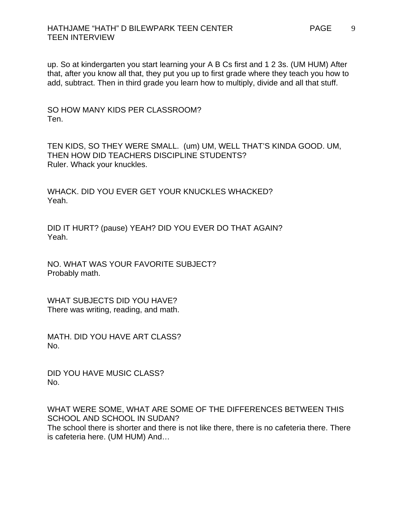up. So at kindergarten you start learning your A B Cs first and 1 2 3s. (UM HUM) After that, after you know all that, they put you up to first grade where they teach you how to add, subtract. Then in third grade you learn how to multiply, divide and all that stuff.

SO HOW MANY KIDS PER CLASSROOM? Ten.

TEN KIDS, SO THEY WERE SMALL. (um) UM, WELL THAT'S KINDA GOOD. UM, THEN HOW DID TEACHERS DISCIPLINE STUDENTS? Ruler. Whack your knuckles.

WHACK. DID YOU EVER GET YOUR KNUCKLES WHACKED? Yeah.

DID IT HURT? (pause) YEAH? DID YOU EVER DO THAT AGAIN? Yeah.

NO. WHAT WAS YOUR FAVORITE SUBJECT? Probably math.

WHAT SUBJECTS DID YOU HAVE? There was writing, reading, and math.

MATH. DID YOU HAVE ART CLASS? No.

DID YOU HAVE MUSIC CLASS? No.

WHAT WERE SOME, WHAT ARE SOME OF THE DIFFERENCES BETWEEN THIS SCHOOL AND SCHOOL IN SUDAN? The school there is shorter and there is not like there, there is no cafeteria there. There is cafeteria here. (UM HUM) And…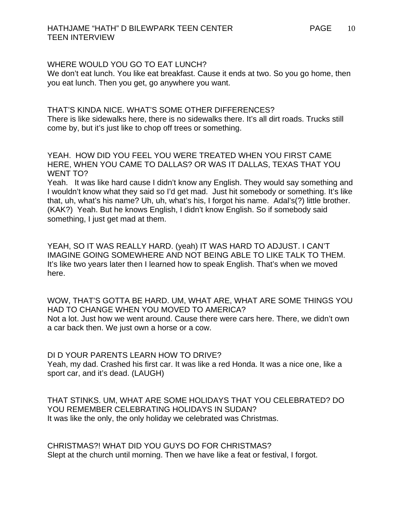#### WHERE WOULD YOU GO TO FAT LUNCH?

We don't eat lunch. You like eat breakfast. Cause it ends at two. So you go home, then you eat lunch. Then you get, go anywhere you want.

THAT'S KINDA NICE. WHAT'S SOME OTHER DIFFERENCES? There is like sidewalks here, there is no sidewalks there. It's all dirt roads. Trucks still come by, but it's just like to chop off trees or something.

YEAH. HOW DID YOU FEEL YOU WERE TREATED WHEN YOU FIRST CAME HERE, WHEN YOU CAME TO DALLAS? OR WAS IT DALLAS, TEXAS THAT YOU WENT TO?

Yeah. It was like hard cause I didn't know any English. They would say something and I wouldn't know what they said so I'd get mad. Just hit somebody or something. It's like that, uh, what's his name? Uh, uh, what's his, I forgot his name. Adal's(?) little brother. (KAK?) Yeah. But he knows English, I didn't know English. So if somebody said something, I just get mad at them.

YEAH, SO IT WAS REALLY HARD. (yeah) IT WAS HARD TO ADJUST. I CAN'T IMAGINE GOING SOMEWHERE AND NOT BEING ABLE TO LIKE TALK TO THEM. It's like two years later then I learned how to speak English. That's when we moved here.

WOW, THAT'S GOTTA BE HARD. UM, WHAT ARE, WHAT ARE SOME THINGS YOU HAD TO CHANGE WHEN YOU MOVED TO AMERICA? Not a lot. Just how we went around. Cause there were cars here. There, we didn't own a car back then. We just own a horse or a cow.

## DI D YOUR PARENTS LEARN HOW TO DRIVE?

Yeah, my dad. Crashed his first car. It was like a red Honda. It was a nice one, like a sport car, and it's dead. (LAUGH)

THAT STINKS. UM, WHAT ARE SOME HOLIDAYS THAT YOU CELEBRATED? DO YOU REMEMBER CELEBRATING HOLIDAYS IN SUDAN? It was like the only, the only holiday we celebrated was Christmas.

CHRISTMAS?! WHAT DID YOU GUYS DO FOR CHRISTMAS? Slept at the church until morning. Then we have like a feat or festival, I forgot.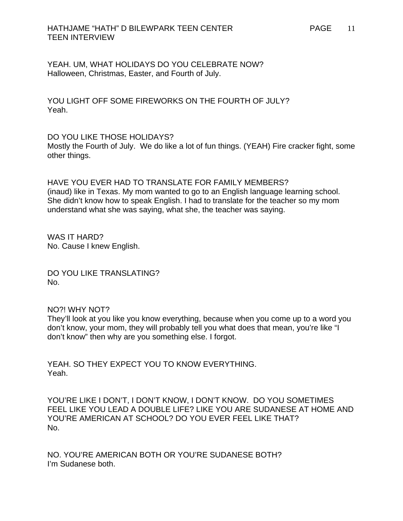YEAH. UM, WHAT HOLIDAYS DO YOU CELEBRATE NOW? Halloween, Christmas, Easter, and Fourth of July.

YOU LIGHT OFF SOME FIREWORKS ON THE FOURTH OF JULY? Yeah.

## DO YOU LIKE THOSE HOLIDAYS?

Mostly the Fourth of July. We do like a lot of fun things. (YEAH) Fire cracker fight, some other things.

HAVE YOU EVER HAD TO TRANSLATE FOR FAMILY MEMBERS? (inaud) like in Texas. My mom wanted to go to an English language learning school. She didn't know how to speak English. I had to translate for the teacher so my mom understand what she was saying, what she, the teacher was saying.

WAS IT HARD? No. Cause I knew English.

DO YOU LIKE TRANSLATING? No.

#### NO?! WHY NOT?

They'll look at you like you know everything, because when you come up to a word you don't know, your mom, they will probably tell you what does that mean, you're like "I don't know" then why are you something else. I forgot.

YEAH. SO THEY EXPECT YOU TO KNOW EVERYTHING. Yeah.

YOU'RE LIKE I DON'T, I DON'T KNOW, I DON'T KNOW. DO YOU SOMETIMES FEEL LIKE YOU LEAD A DOUBLE LIFE? LIKE YOU ARE SUDANESE AT HOME AND YOU'RE AMERICAN AT SCHOOL? DO YOU EVER FEEL LIKE THAT? No.

NO. YOU'RE AMERICAN BOTH OR YOU'RE SUDANESE BOTH? I'm Sudanese both.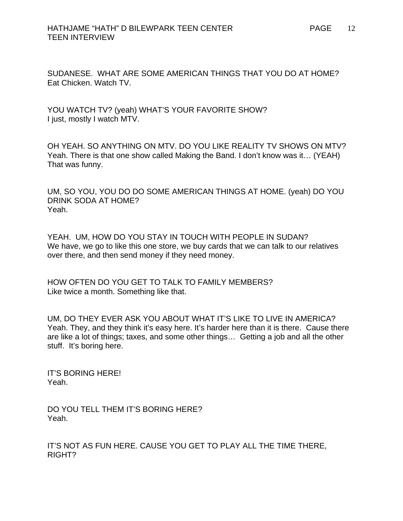SUDANESE. WHAT ARE SOME AMERICAN THINGS THAT YOU DO AT HOME? Eat Chicken. Watch TV.

YOU WATCH TV? (yeah) WHAT'S YOUR FAVORITE SHOW? I just, mostly I watch MTV.

OH YEAH. SO ANYTHING ON MTV. DO YOU LIKE REALITY TV SHOWS ON MTV? Yeah. There is that one show called Making the Band. I don't know was it… (YEAH) That was funny.

UM, SO YOU, YOU DO DO SOME AMERICAN THINGS AT HOME. (yeah) DO YOU DRINK SODA AT HOME? Yeah.

YEAH. UM, HOW DO YOU STAY IN TOUCH WITH PEOPLE IN SUDAN? We have, we go to like this one store, we buy cards that we can talk to our relatives over there, and then send money if they need money.

HOW OFTEN DO YOU GET TO TALK TO FAMILY MEMBERS? Like twice a month. Something like that.

UM, DO THEY EVER ASK YOU ABOUT WHAT IT'S LIKE TO LIVE IN AMERICA? Yeah. They, and they think it's easy here. It's harder here than it is there. Cause there are like a lot of things; taxes, and some other things… Getting a job and all the other stuff. It's boring here.

IT'S BORING HERE! Yeah.

DO YOU TELL THEM IT'S BORING HERE? Yeah.

IT'S NOT AS FUN HERE. CAUSE YOU GET TO PLAY ALL THE TIME THERE, RIGHT?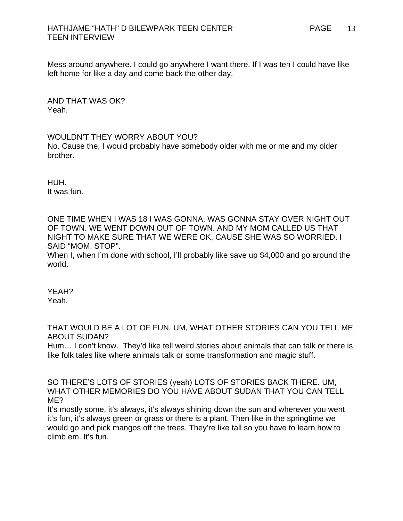## HATHJAME "HATH" D BILEWPARK TEEN CENTER PAGE PAGE TEEN INTERVIEW

Mess around anywhere. I could go anywhere I want there. If I was ten I could have like left home for like a day and come back the other day.

AND THAT WAS OK? Yeah.

#### WOULDN'T THEY WORRY ABOUT YOU?

No. Cause the, I would probably have somebody older with me or me and my older brother.

HUH. It was fun.

ONE TIME WHEN I WAS 18 I WAS GONNA, WAS GONNA STAY OVER NIGHT OUT OF TOWN. WE WENT DOWN OUT OF TOWN. AND MY MOM CALLED US THAT NIGHT TO MAKE SURE THAT WE WERE OK, CAUSE SHE WAS SO WORRIED. I SAID "MOM, STOP".

When I, when I'm done with school, I'll probably like save up \$4,000 and go around the world.

YEAH? Yeah.

THAT WOULD BE A LOT OF FUN. UM, WHAT OTHER STORIES CAN YOU TELL ME ABOUT SUDAN?

Hum… I don't know. They'd like tell weird stories about animals that can talk or there is like folk tales like where animals talk or some transformation and magic stuff.

SO THERE'S LOTS OF STORIES (yeah) LOTS OF STORIES BACK THERE. UM, WHAT OTHER MEMORIES DO YOU HAVE ABOUT SUDAN THAT YOU CAN TELL ME?

It's mostly some, it's always, it's always shining down the sun and wherever you went it's fun, it's always green or grass or there is a plant. Then like in the springtime we would go and pick mangos off the trees. They're like tall so you have to learn how to climb em. It's fun.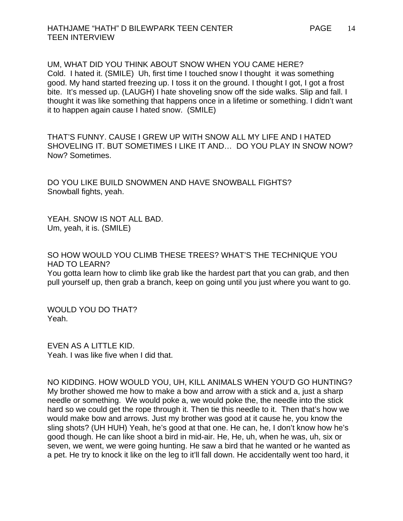UM, WHAT DID YOU THINK ABOUT SNOW WHEN YOU CAME HERE? Cold. I hated it. (SMILE) Uh, first time I touched snow I thought it was something good. My hand started freezing up. I toss it on the ground. I thought I got, I got a frost bite. It's messed up. (LAUGH) I hate shoveling snow off the side walks. Slip and fall. I thought it was like something that happens once in a lifetime or something. I didn't want it to happen again cause I hated snow. (SMILE)

THAT'S FUNNY. CAUSE I GREW UP WITH SNOW ALL MY LIFE AND I HATED SHOVELING IT. BUT SOMETIMES I LIKE IT AND… DO YOU PLAY IN SNOW NOW? Now? Sometimes.

DO YOU LIKE BUILD SNOWMEN AND HAVE SNOWBALL FIGHTS? Snowball fights, yeah.

YEAH. SNOW IS NOT ALL BAD. Um, yeah, it is. (SMILE)

SO HOW WOULD YOU CLIMB THESE TREES? WHAT'S THE TECHNIQUE YOU HAD TO LEARN?

You gotta learn how to climb like grab like the hardest part that you can grab, and then pull yourself up, then grab a branch, keep on going until you just where you want to go.

WOULD YOU DO THAT? Yeah.

EVEN AS A LITTLE KID. Yeah. I was like five when I did that.

NO KIDDING. HOW WOULD YOU, UH, KILL ANIMALS WHEN YOU'D GO HUNTING? My brother showed me how to make a bow and arrow with a stick and a, just a sharp needle or something. We would poke a, we would poke the, the needle into the stick hard so we could get the rope through it. Then tie this needle to it. Then that's how we would make bow and arrows. Just my brother was good at it cause he, you know the sling shots? (UH HUH) Yeah, he's good at that one. He can, he, I don't know how he's good though. He can like shoot a bird in mid-air. He, He, uh, when he was, uh, six or seven, we went, we were going hunting. He saw a bird that he wanted or he wanted as a pet. He try to knock it like on the leg to it'll fall down. He accidentally went too hard, it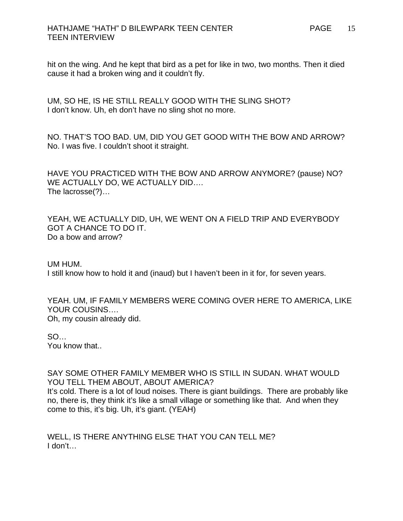## HATHJAME "HATH" D BILEWPARK TEEN CENTER TEEN INTERVIEW

hit on the wing. And he kept that bird as a pet for like in two, two months. Then it died cause it had a broken wing and it couldn't fly.

UM, SO HE, IS HE STILL REALLY GOOD WITH THE SLING SHOT? I don't know. Uh, eh don't have no sling shot no more.

NO. THAT'S TOO BAD. UM, DID YOU GET GOOD WITH THE BOW AND ARROW? No. I was five. I couldn't shoot it straight.

HAVE YOU PRACTICED WITH THE BOW AND ARROW ANYMORE? (pause) NO? WE ACTUALLY DO, WE ACTUALLY DID…. The lacrosse(?)…

YEAH, WE ACTUALLY DID, UH, WE WENT ON A FIELD TRIP AND EVERYBODY GOT A CHANCE TO DO IT. Do a bow and arrow?

UM HUM. I still know how to hold it and (inaud) but I haven't been in it for, for seven years.

YEAH. UM, IF FAMILY MEMBERS WERE COMING OVER HERE TO AMERICA, LIKE YOUR COUSINS…. Oh, my cousin already did.

SO… You know that..

#### SAY SOME OTHER FAMILY MEMBER WHO IS STILL IN SUDAN. WHAT WOULD YOU TELL THEM ABOUT, ABOUT AMERICA?

It's cold. There is a lot of loud noises. There is giant buildings. There are probably like no, there is, they think it's like a small village or something like that. And when they come to this, it's big. Uh, it's giant. (YEAH)

WELL, IS THERE ANYTHING ELSE THAT YOU CAN TELL ME? I don't…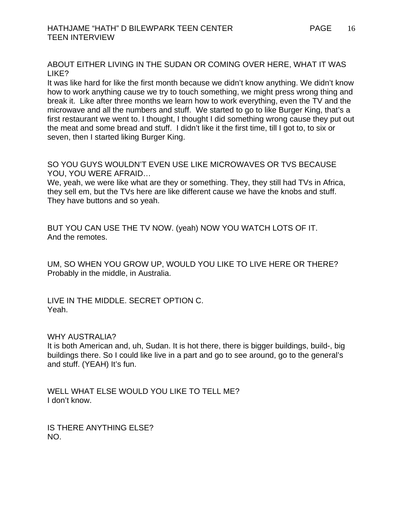ABOUT EITHER LIVING IN THE SUDAN OR COMING OVER HERE, WHAT IT WAS LIKE?

It was like hard for like the first month because we didn't know anything. We didn't know how to work anything cause we try to touch something, we might press wrong thing and break it. Like after three months we learn how to work everything, even the TV and the microwave and all the numbers and stuff. We started to go to like Burger King, that's a first restaurant we went to. I thought, I thought I did something wrong cause they put out the meat and some bread and stuff. I didn't like it the first time, till I got to, to six or seven, then I started liking Burger King.

SO YOU GUYS WOULDN'T EVEN USE LIKE MICROWAVES OR TVS BECAUSE YOU, YOU WERE AFRAID…

We, yeah, we were like what are they or something. They, they still had TVs in Africa, they sell em, but the TVs here are like different cause we have the knobs and stuff. They have buttons and so yeah.

BUT YOU CAN USE THE TV NOW. (yeah) NOW YOU WATCH LOTS OF IT. And the remotes.

UM, SO WHEN YOU GROW UP, WOULD YOU LIKE TO LIVE HERE OR THERE? Probably in the middle, in Australia.

LIVE IN THE MIDDLE. SECRET OPTION C. Yeah.

WHY AUSTRALIA?

It is both American and, uh, Sudan. It is hot there, there is bigger buildings, build-, big buildings there. So I could like live in a part and go to see around, go to the general's and stuff. (YEAH) It's fun.

WELL WHAT ELSE WOULD YOU LIKE TO TELL ME? I don't know.

IS THERE ANYTHING ELSE? NO.